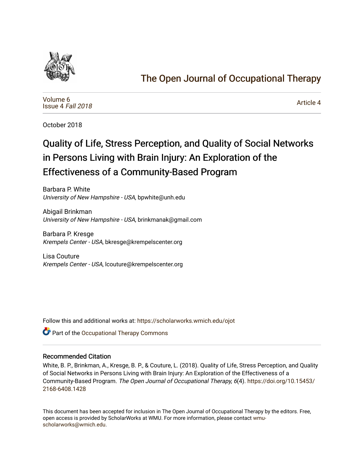

# [The Open Journal of Occupational Therapy](https://scholarworks.wmich.edu/ojot)

[Volume 6](https://scholarworks.wmich.edu/ojot/vol6) [Issue 4](https://scholarworks.wmich.edu/ojot/vol6/iss4) Fall 2018

[Article 4](https://scholarworks.wmich.edu/ojot/vol6/iss4/4) 

October 2018

# Quality of Life, Stress Perception, and Quality of Social Networks in Persons Living with Brain Injury: An Exploration of the Effectiveness of a Community-Based Program

Barbara P. White University of New Hampshire - USA, bpwhite@unh.edu

Abigail Brinkman University of New Hampshire - USA, brinkmanak@gmail.com

Barbara P. Kresge Krempels Center - USA, bkresge@krempelscenter.org

Lisa Couture Krempels Center - USA, lcouture@krempelscenter.org

Follow this and additional works at: [https://scholarworks.wmich.edu/ojot](https://scholarworks.wmich.edu/ojot?utm_source=scholarworks.wmich.edu%2Fojot%2Fvol6%2Fiss4%2F4&utm_medium=PDF&utm_campaign=PDFCoverPages)

**C** Part of the Occupational Therapy Commons

#### Recommended Citation

White, B. P., Brinkman, A., Kresge, B. P., & Couture, L. (2018). Quality of Life, Stress Perception, and Quality of Social Networks in Persons Living with Brain Injury: An Exploration of the Effectiveness of a Community-Based Program. The Open Journal of Occupational Therapy, 6(4). [https://doi.org/10.15453/](https://doi.org/10.15453/2168-6408.1428) [2168-6408.1428](https://doi.org/10.15453/2168-6408.1428) 

This document has been accepted for inclusion in The Open Journal of Occupational Therapy by the editors. Free, open access is provided by ScholarWorks at WMU. For more information, please contact [wmu](mailto:wmu-scholarworks@wmich.edu)[scholarworks@wmich.edu.](mailto:wmu-scholarworks@wmich.edu)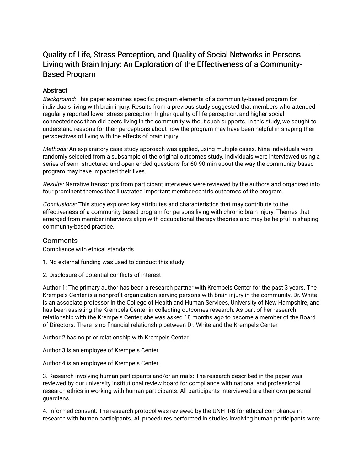# Quality of Life, Stress Perception, and Quality of Social Networks in Persons Living with Brain Injury: An Exploration of the Effectiveness of a Community-Based Program

#### **Abstract**

Background: This paper examines specific program elements of a community-based program for individuals living with brain injury. Results from a previous study suggested that members who attended regularly reported lower stress perception, higher quality of life perception, and higher social connectedness than did peers living in the community without such supports. In this study, we sought to understand reasons for their perceptions about how the program may have been helpful in shaping their perspectives of living with the effects of brain injury.

Methods: An explanatory case-study approach was applied, using multiple cases. Nine individuals were randomly selected from a subsample of the original outcomes study. Individuals were interviewed using a series of semi-structured and open-ended questions for 60-90 min about the way the community-based program may have impacted their lives.

Results: Narrative transcripts from participant interviews were reviewed by the authors and organized into four prominent themes that illustrated important member-centric outcomes of the program.

Conclusions: This study explored key attributes and characteristics that may contribute to the effectiveness of a community-based program for persons living with chronic brain injury. Themes that emerged from member interviews align with occupational therapy theories and may be helpful in shaping community-based practice.

#### **Comments**

Compliance with ethical standards

1. No external funding was used to conduct this study

2. Disclosure of potential conflicts of interest

Author 1: The primary author has been a research partner with Krempels Center for the past 3 years. The Krempels Center is a nonprofit organization serving persons with brain injury in the community. Dr. White is an associate professor in the College of Health and Human Services, University of New Hampshire, and has been assisting the Krempels Center in collecting outcomes research. As part of her research relationship with the Krempels Center, she was asked 18 months ago to become a member of the Board of Directors. There is no financial relationship between Dr. White and the Krempels Center.

Author 2 has no prior relationship with Krempels Center.

Author 3 is an employee of Krempels Center.

Author 4 is an employee of Krempels Center.

3. Research involving human participants and/or animals: The research described in the paper was reviewed by our university institutional review board for compliance with national and professional research ethics in working with human participants. All participants interviewed are their own personal guardians.

4. Informed consent: The research protocol was reviewed by the UNH IRB for ethical compliance in research with human participants. All procedures performed in studies involving human participants were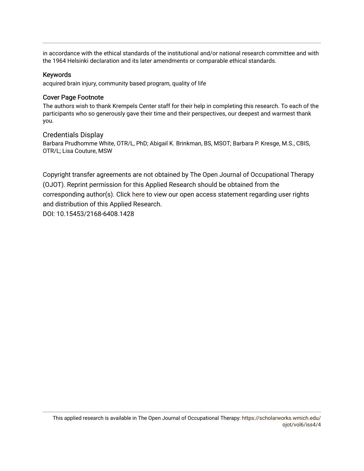in accordance with the ethical standards of the institutional and/or national research committee and with the 1964 Helsinki declaration and its later amendments or comparable ethical standards.

#### Keywords

acquired brain injury, community based program, quality of life

#### Cover Page Footnote

The authors wish to thank Krempels Center staff for their help in completing this research. To each of the participants who so generously gave their time and their perspectives, our deepest and warmest thank you.

#### Credentials Display

Barbara Prudhomme White, OTR/L, PhD; Abigail K. Brinkman, BS, MSOT; Barbara P. Kresge, M.S., CBIS, OTR/L; Lisa Couture, MSW

Copyright transfer agreements are not obtained by The Open Journal of Occupational Therapy (OJOT). Reprint permission for this Applied Research should be obtained from the corresponding author(s). Click [here](https://scholarworks.wmich.edu/ojot/policies.html#rights) to view our open access statement regarding user rights and distribution of this Applied Research.

DOI: 10.15453/2168-6408.1428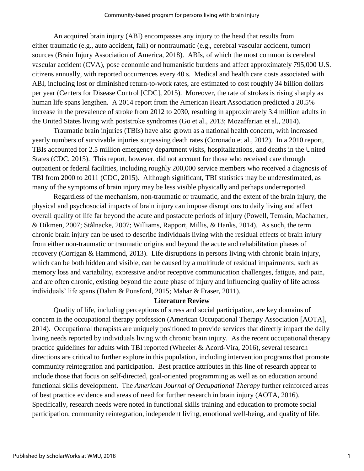An acquired brain injury (ABI) encompasses any injury to the head that results from either traumatic (e.g., auto accident, fall) or nontraumatic (e.g., cerebral vascular accident, tumor) sources (Brain Injury Association of America, 2018). ABIs, of which the most common is cerebral vascular accident (CVA), pose economic and humanistic burdens and affect approximately 795,000 U.S. citizens annually, with reported occurrences every 40 s. Medical and health care costs associated with ABI, including lost or diminished return-to-work rates, are estimated to cost roughly 34 billion dollars per year (Centers for Disease Control [CDC], 2015). Moreover, the rate of strokes is rising sharply as human life spans lengthen. A 2014 report from the American Heart Association predicted a 20.5% increase in the prevalence of stroke from 2012 to 2030, resulting in approximately 3.4 million adults in the United States living with poststroke syndromes (Go et al., 2013; Mozaffarian et al., 2014).

Traumatic brain injuries (TBIs) have also grown as a national health concern, with increased yearly numbers of survivable injuries surpassing death rates (Coronado et al., 2012). In a 2010 report, TBIs accounted for 2.5 million emergency department visits, hospitalizations, and deaths in the United States (CDC, 2015). This report, however, did not account for those who received care through outpatient or federal facilities, including roughly 200,000 service members who received a diagnosis of TBI from 2000 to 2011 (CDC, 2015). Although significant, TBI statistics may be underestimated, as many of the symptoms of brain injury may be less visible physically and perhaps underreported.

Regardless of the mechanism, non-traumatic or traumatic, and the extent of the brain injury, the physical and psychosocial impacts of brain injury can impose disruptions to daily living and affect overall quality of life far beyond the acute and postacute periods of injury (Powell, Temkin, Machamer, & Dikmen, 2007; Stålnacke, 2007; Williams, Rapport, Millis, & Hanks, 2014). As such, the term chronic brain injury can be used to describe individuals living with the residual effects of brain injury from either non-traumatic or traumatic origins and beyond the acute and rehabilitation phases of recovery (Corrigan & Hammond, 2013). Life disruptions in persons living with chronic brain injury, which can be both hidden and visible, can be caused by a multitude of residual impairments, such as memory loss and variability, expressive and/or receptive communication challenges, fatigue, and pain, and are often chronic, existing beyond the acute phase of injury and influencing quality of life across individuals' life spans (Dahm & Ponsford, 2015; Mahar & Fraser, 2011).

#### **Literature Review**

Quality of life, including perceptions of stress and social participation, are key domains of concern in the occupational therapy profession (American Occupational Therapy Association [AOTA], 2014). Occupational therapists are uniquely positioned to provide services that directly impact the daily living needs reported by individuals living with chronic brain injury. As the recent occupational therapy practice guidelines for adults with TBI reported (Wheeler & Acord-Vira, 2016), several research directions are critical to further explore in this population, including intervention programs that promote community reintegration and participation. Best practice attributes in this line of research appear to include those that focus on self-directed, goal-oriented programming as well as on education around functional skills development. The *American Journal of Occupational Therapy* further reinforced areas of best practice evidence and areas of need for further research in brain injury (AOTA, 2016). Specifically, research needs were noted in functional skills training and education to promote social participation, community reintegration, independent living, emotional well-being, and quality of life.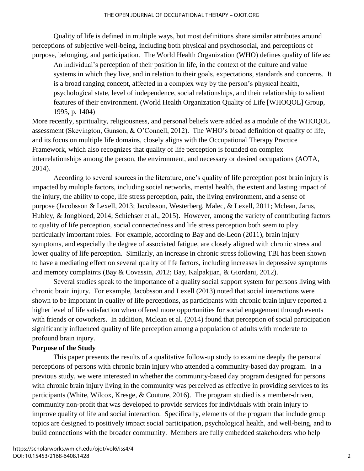Quality of life is defined in multiple ways, but most definitions share similar attributes around perceptions of subjective well-being, including both physical and psychosocial, and perceptions of purpose, belonging, and participation. The World Health Organization (WHO) defines quality of life as:

An individual's perception of their position in life, in the context of the culture and value systems in which they live, and in relation to their goals, expectations, standards and concerns. It is a broad ranging concept, affected in a complex way by the person's physical health, psychological state, level of independence, social relationships, and their relationship to salient features of their environment. (World Health Organization Quality of Life [WHOQOL] Group, 1995, p. 1404)

More recently, spirituality, religiousness, and personal beliefs were added as a module of the WHOQOL assessment (Skevington, Gunson, & O'Connell, 2012). The WHO's broad definition of quality of life, and its focus on multiple life domains, closely aligns with the Occupational Therapy Practice Framework, which also recognizes that quality of life perception is founded on complex interrelationships among the person, the environment, and necessary or desired occupations (AOTA, 2014).

According to several sources in the literature, one's quality of life perception post brain injury is impacted by multiple factors, including social networks, mental health, the extent and lasting impact of the injury, the ability to cope, life stress perception, pain, the living environment, and a sense of purpose (Jacobsson & Lexell, 2013; Jacobsson, Westerberg, Malec, & Lexell, 2011; Mclean, Jarus, Hubley, & Jongbloed, 2014; Schiehser et al., 2015). However, among the variety of contributing factors to quality of life perception, social connectedness and life stress perception both seem to play particularly important roles. For example, according to Bay and de-Leon (2011), brain injury symptoms, and especially the degree of associated fatigue, are closely aligned with chronic stress and lower quality of life perception. Similarly, an increase in chronic stress following TBI has been shown to have a mediating effect on several quality of life factors, including increases in depressive symptoms and memory complaints (Bay & Covassin, 2012; Bay, Kalpakjian, & Giordani, 2012).

Several studies speak to the importance of a quality social support system for persons living with chronic brain injury. For example, Jacobsson and Lexell (2013) noted that social interactions were shown to be important in quality of life perceptions, as participants with chronic brain injury reported a higher level of life satisfaction when offered more opportunities for social engagement through events with friends or coworkers. In addition, Mclean et al. (2014) found that perception of social participation significantly influenced quality of life perception among a population of adults with moderate to profound brain injury.

#### **Purpose of the Study**

This paper presents the results of a qualitative follow-up study to examine deeply the personal perceptions of persons with chronic brain injury who attended a community-based day program. In a previous study, we were interested in whether the community-based day program designed for persons with chronic brain injury living in the community was perceived as effective in providing services to its participants (White, Wilcox, Kresge, & Couture, 2016). The program studied is a member-driven, community non-profit that was developed to provide services for individuals with brain injury to improve quality of life and social interaction. Specifically, elements of the program that include group topics are designed to positively impact social participation, psychological health, and well-being, and to build connections with the broader community. Members are fully embedded stakeholders who help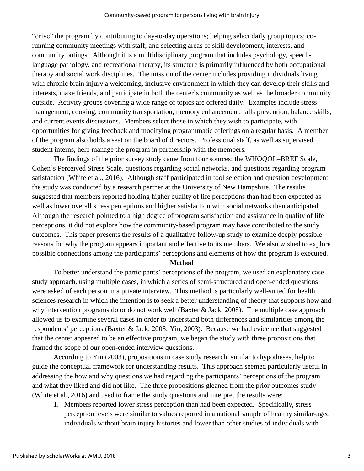"drive" the program by contributing to day-to-day operations; helping select daily group topics; corunning community meetings with staff; and selecting areas of skill development, interests, and community outings. Although it is a multidisciplinary program that includes psychology, speechlanguage pathology, and recreational therapy, its structure is primarily influenced by both occupational therapy and social work disciplines. The mission of the center includes providing individuals living with chronic brain injury a welcoming, inclusive environment in which they can develop their skills and interests, make friends, and participate in both the center's community as well as the broader community outside. Activity groups covering a wide range of topics are offered daily. Examples include stress management, cooking, community transportation, memory enhancement, falls prevention, balance skills, and current events discussions. Members select those in which they wish to participate, with opportunities for giving feedback and modifying programmatic offerings on a regular basis. A member of the program also holds a seat on the board of directors. Professional staff, as well as supervised student interns, help manage the program in partnership with the members.

The findings of the prior survey study came from four sources: the WHOQOL–BREF Scale, Cohen's Perceived Stress Scale, questions regarding social networks, and questions regarding program satisfaction (White et al., 2016). Although staff participated in tool selection and question development, the study was conducted by a research partner at the University of New Hampshire. The results suggested that members reported holding higher quality of life perceptions than had been expected as well as lower overall stress perceptions and higher satisfaction with social networks than anticipated. Although the research pointed to a high degree of program satisfaction and assistance in quality of life perceptions, it did not explore how the community-based program may have contributed to the study outcomes. This paper presents the results of a qualitative follow-up study to examine deeply possible reasons for why the program appears important and effective to its members. We also wished to explore possible connections among the participants' perceptions and elements of how the program is executed.

#### **Method**

To better understand the participants' perceptions of the program, we used an explanatory case study approach, using multiple cases, in which a series of semi-structured and open-ended questions were asked of each person in a private interview. This method is particularly well-suited for health sciences research in which the intention is to seek a better understanding of theory that supports how and why intervention programs do or do not work well (Baxter & Jack, 2008). The multiple case approach allowed us to examine several cases in order to understand both differences and similarities among the respondents' perceptions (Baxter & Jack, 2008; Yin, 2003). Because we had evidence that suggested that the center appeared to be an effective program, we began the study with three propositions that framed the scope of our open-ended interview questions.

According to Yin (2003), propositions in case study research, similar to hypotheses, help to guide the conceptual framework for understanding results. This approach seemed particularly useful in addressing the how and why questions we had regarding the participants' perceptions of the program and what they liked and did not like. The three propositions gleaned from the prior outcomes study (White et al., 2016) and used to frame the study questions and interpret the results were:

1. Members reported lower stress perception than had been expected. Specifically, stress perception levels were similar to values reported in a national sample of healthy similar-aged individuals without brain injury histories and lower than other studies of individuals with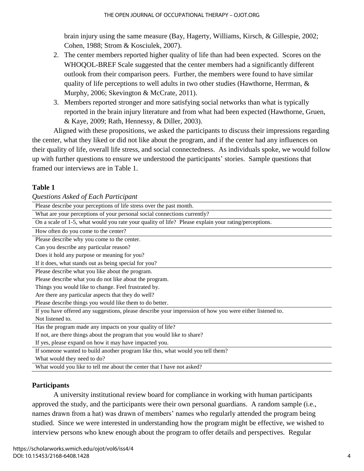brain injury using the same measure (Bay, Hagerty, Williams, Kirsch, & Gillespie, 2002; Cohen, 1988; Strom & Kosciulek, 2007).

- 2. The center members reported higher quality of life than had been expected. Scores on the WHOQOL-BREF Scale suggested that the center members had a significantly different outlook from their comparison peers. Further, the members were found to have similar quality of life perceptions to well adults in two other studies (Hawthorne, Herrman, & Murphy, 2006; Skevington & McCrate, 2011).
- 3. Members reported stronger and more satisfying social networks than what is typically reported in the brain injury literature and from what had been expected (Hawthorne, Gruen, & Kaye, 2009; Rath, Hennessy, & Diller, 2003).

Aligned with these propositions, we asked the participants to discuss their impressions regarding the center, what they liked or did not like about the program, and if the center had any influences on their quality of life, overall life stress, and social connectedness. As individuals spoke, we would follow up with further questions to ensure we understood the participants' stories. Sample questions that framed our interviews are in Table 1.

## **Table 1**

| Questions Asked of Each Participant                                                                      |  |  |  |  |  |
|----------------------------------------------------------------------------------------------------------|--|--|--|--|--|
| Please describe your perceptions of life stress over the past month.                                     |  |  |  |  |  |
| What are your perceptions of your personal social connections currently?                                 |  |  |  |  |  |
| On a scale of 1-5, what would you rate your quality of life? Please explain your rating/perceptions.     |  |  |  |  |  |
| How often do you come to the center?                                                                     |  |  |  |  |  |
| Please describe why you come to the center.                                                              |  |  |  |  |  |
| Can you describe any particular reason?                                                                  |  |  |  |  |  |
| Does it hold any purpose or meaning for you?                                                             |  |  |  |  |  |
| If it does, what stands out as being special for you?                                                    |  |  |  |  |  |
| Please describe what you like about the program.                                                         |  |  |  |  |  |
| Please describe what you do not like about the program.                                                  |  |  |  |  |  |
| Things you would like to change. Feel frustrated by.                                                     |  |  |  |  |  |
| Are there any particular aspects that they do well?                                                      |  |  |  |  |  |
| Please describe things you would like them to do better.                                                 |  |  |  |  |  |
| If you have offered any suggestions, please describe your impression of how you were either listened to. |  |  |  |  |  |
| Not listened to.                                                                                         |  |  |  |  |  |
| Has the program made any impacts on your quality of life?                                                |  |  |  |  |  |
| If not, are there things about the program that you would like to share?                                 |  |  |  |  |  |
| If yes, please expand on how it may have impacted you.                                                   |  |  |  |  |  |
| If someone wanted to build another program like this, what would you tell them?                          |  |  |  |  |  |
| What would they need to do?                                                                              |  |  |  |  |  |
| What would you like to tell me about the center that I have not asked?                                   |  |  |  |  |  |

# **Participants**

A university institutional review board for compliance in working with human participants approved the study, and the participants were their own personal guardians. A random sample (i.e., names drawn from a hat) was drawn of members' names who regularly attended the program being studied. Since we were interested in understanding how the program might be effective, we wished to interview persons who knew enough about the program to offer details and perspectives. Regular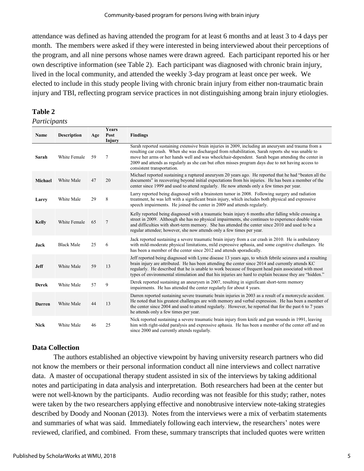attendance was defined as having attended the program for at least 6 months and at least 3 to 4 days per month. The members were asked if they were interested in being interviewed about their perceptions of the program, and all nine persons whose names were drawn agreed. Each participant reported his or her own descriptive information (see Table 2). Each participant was diagnosed with chronic brain injury, lived in the local community, and attended the weekly 3-day program at least once per week. We elected to include in this study people living with chronic brain injury from either non-traumatic brain injury and TBI, reflecting program service practices in not distinguishing among brain injury etiologies.

# **Table 2**

#### *Participants*

| Name          | <b>Description</b> | Age | Years<br>Post<br>Injury | <b>Findings</b>                                                                                                                                                                                                                                                                                                                                                                                                                                   |
|---------------|--------------------|-----|-------------------------|---------------------------------------------------------------------------------------------------------------------------------------------------------------------------------------------------------------------------------------------------------------------------------------------------------------------------------------------------------------------------------------------------------------------------------------------------|
| Sarah         | White Female       | 59  | 7                       | Sarah reported sustaining extensive brain injuries in 2009, including an aneurysm and trauma from a<br>resulting car crash. When she was discharged from rehabilitation, Sarah reports she was unable to<br>move her arms or her hands well and was wheelchair-dependent. Sarah began attending the center in<br>2009 and attends as regularly as she can but often misses program days due to not having access to<br>consistent transportation. |
| Michael       | White Male         | 47  | 20                      | Michael reported sustaining a ruptured aneurysm 20 years ago. He reported that he had "beaten all the<br>documents" in recovering beyond initial expectations from his injuries. He has been a member of the<br>center since 1999 and used to attend regularly. He now attends only a few times per year.                                                                                                                                         |
| Larry         | White Male         | 29  | 8                       | Larry reported being diagnosed with a brainstem tumor in 2008. Following surgery and radiation<br>treatment, he was left with a significant brain injury, which includes both physical and expressive<br>speech impairments. He joined the center in 2009 and attends regularly.                                                                                                                                                                  |
| <b>Kelly</b>  | White Female       | 65  | $\overline{7}$          | Kelly reported being diagnosed with a traumatic brain injury 6 months after falling while crossing a<br>street in 2009. Although she has no physical impairments, she continues to experience double vision<br>and difficulties with short-term memory. She has attended the center since 2010 and used to be a<br>regular attendee; however, she now attends only a few times per year.                                                          |
| Jack          | <b>Black Male</b>  | 25  | 6                       | Jack reported sustaining a severe traumatic brain injury from a car crash in 2010. He is ambulatory<br>with mild-moderate physical limitations, mild expressive aphasia, and some cognitive challenges. He<br>has been a member of the center since 2012 and attends sporadically.                                                                                                                                                                |
| <b>Jeff</b>   | White Male         | 59  | 13                      | Jeff reported being diagnosed with Lyme disease 13 years ago, to which febrile seizures and a resulting<br>brain injury are attributed. He has been attending the center since 2014 and currently attends KC<br>regularly. He described that he is unable to work because of frequent head pain associated with most<br>types of environmental stimulation and that his injuries are hard to explain because they are "hidden."                   |
| <b>Derek</b>  | White Male         | 57  | 9                       | Derek reported sustaining an aneurysm in 2007, resulting in significant short-term memory<br>impairments. He has attended the center regularly for about 4 years.                                                                                                                                                                                                                                                                                 |
| <b>Darren</b> | White Male         | 44  | 13                      | Darren reported sustaining severe traumatic brain injuries in 2003 as a result of a motorcycle accident.<br>He noted that his greatest challenges are with memory and verbal expression. He has been a member of<br>the center since 2004 and used to attend regularly. However, he reported that for the past 6 to 7 years<br>he attends only a few times per year.                                                                              |
| <b>Nick</b>   | White Male         | 46  | 25                      | Nick reported sustaining a severe traumatic brain injury from knife and gun wounds in 1991, leaving<br>him with right-sided paralysis and expressive aphasia. He has been a member of the center off and on<br>since 2000 and currently attends regularly.                                                                                                                                                                                        |

# **Data Collection**

The authors established an objective viewpoint by having university research partners who did not know the members or their personal information conduct all nine interviews and collect narrative data. A master of occupational therapy student assisted in six of the interviews by taking additional notes and participating in data analysis and interpretation. Both researchers had been at the center but were not well-known by the participants. Audio recording was not feasible for this study; rather, notes were taken by the two researchers applying effective and nonobtrusive interview note-taking strategies described by Doody and Noonan (2013). Notes from the interviews were a mix of verbatim statements and summaries of what was said. Immediately following each interview, the researchers' notes were reviewed, clarified, and combined. From these, summary transcripts that included quotes were written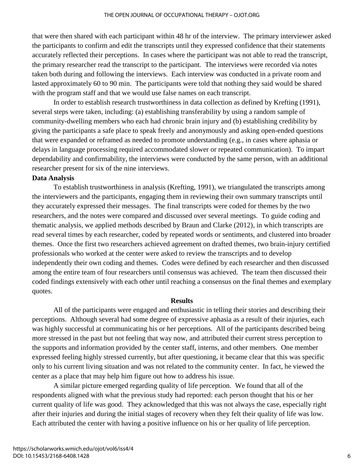that were then shared with each participant within 48 hr of the interview. The primary interviewer asked the participants to confirm and edit the transcripts until they expressed confidence that their statements accurately reflected their perceptions. In cases where the participant was not able to read the transcript, the primary researcher read the transcript to the participant. The interviews were recorded via notes taken both during and following the interviews. Each interview was conducted in a private room and lasted approximately 60 to 90 min. The participants were told that nothing they said would be shared with the program staff and that we would use false names on each transcript.

In order to establish research trustworthiness in data collection as defined by Krefting (1991), several steps were taken, including: (a) establishing transferability by using a random sample of community-dwelling members who each had chronic brain injury and (b) establishing credibility by giving the participants a safe place to speak freely and anonymously and asking open-ended questions that were expanded or reframed as needed to promote understanding (e.g., in cases where aphasia or delays in language processing required accommodated slower or repeated communication). To impart dependability and confirmability, the interviews were conducted by the same person, with an additional researcher present for six of the nine interviews.

#### **Data Analysis**

To establish trustworthiness in analysis (Krefting, 1991), we triangulated the transcripts among the interviewers and the participants, engaging them in reviewing their own summary transcripts until they accurately expressed their messages. The final transcripts were coded for themes by the two researchers, and the notes were compared and discussed over several meetings. To guide coding and thematic analysis, we applied methods described by Braun and Clarke (2012), in which transcripts are read several times by each researcher, coded by repeated words or sentiments, and clustered into broader themes. Once the first two researchers achieved agreement on drafted themes, two brain-injury certified professionals who worked at the center were asked to review the transcripts and to develop independently their own coding and themes. Codes were defined by each researcher and then discussed among the entire team of four researchers until consensus was achieved. The team then discussed their coded findings extensively with each other until reaching a consensus on the final themes and exemplary quotes.

#### **Results**

All of the participants were engaged and enthusiastic in telling their stories and describing their perceptions. Although several had some degree of expressive aphasia as a result of their injuries, each was highly successful at communicating his or her perceptions. All of the participants described being more stressed in the past but not feeling that way now, and attributed their current stress perception to the supports and information provided by the center staff, interns, and other members. One member expressed feeling highly stressed currently, but after questioning, it became clear that this was specific only to his current living situation and was not related to the community center. In fact, he viewed the center as a place that may help him figure out how to address his issue.

A similar picture emerged regarding quality of life perception. We found that all of the respondents aligned with what the previous study had reported: each person thought that his or her current quality of life was good. They acknowledged that this was not always the case, especially right after their injuries and during the initial stages of recovery when they felt their quality of life was low. Each attributed the center with having a positive influence on his or her quality of life perception.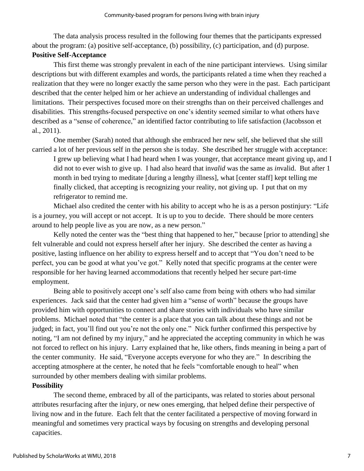The data analysis process resulted in the following four themes that the participants expressed about the program: (a) positive self-acceptance, (b) possibility, (c) participation, and (d) purpose.

## **Positive Self-Acceptance**

This first theme was strongly prevalent in each of the nine participant interviews. Using similar descriptions but with different examples and words, the participants related a time when they reached a realization that they were no longer exactly the same person who they were in the past. Each participant described that the center helped him or her achieve an understanding of individual challenges and limitations. Their perspectives focused more on their strengths than on their perceived challenges and disabilities. This strengths-focused perspective on one's identity seemed similar to what others have described as a "sense of coherence," an identified factor contributing to life satisfaction (Jacobsson et al., 2011).

One member (Sarah) noted that although she embraced her new self, she believed that she still carried a lot of her previous self in the person she is today. She described her struggle with acceptance:

I grew up believing what I had heard when I was younger, that acceptance meant giving up, and I did not to ever wish to give up. I had also heard that in*valid* was the same as *in*valid. But after 1 month in bed trying to meditate [during a lengthy illness], what [center staff] kept telling me finally clicked, that accepting is recognizing your reality, not giving up. I put that on my refrigerator to remind me.

Michael also credited the center with his ability to accept who he is as a person postinjury: "Life is a journey, you will accept or not accept. It is up to you to decide. There should be more centers around to help people live as you are now, as a new person."

Kelly noted the center was the "best thing that happened to her," because [prior to attending] she felt vulnerable and could not express herself after her injury. She described the center as having a positive, lasting influence on her ability to express herself and to accept that "You don't need to be perfect, you can be good at what you've got." Kelly noted that specific programs at the center were responsible for her having learned accommodations that recently helped her secure part-time employment.

Being able to positively accept one's self also came from being with others who had similar experiences. Jack said that the center had given him a "sense of worth" because the groups have provided him with opportunities to connect and share stories with individuals who have similar problems. Michael noted that "the center is a place that you can talk about these things and not be judged; in fact, you'll find out you're not the only one." Nick further confirmed this perspective by noting, "I am not defined by my injury," and he appreciated the accepting community in which he was not forced to reflect on his injury. Larry explained that he, like others, finds meaning in being a part of the center community. He said, "Everyone accepts everyone for who they are." In describing the accepting atmosphere at the center, he noted that he feels "comfortable enough to heal" when surrounded by other members dealing with similar problems.

# **Possibility**

The second theme, embraced by all of the participants, was related to stories about personal attributes resurfacing after the injury, or new ones emerging, that helped define their perspective of living now and in the future. Each felt that the center facilitated a perspective of moving forward in meaningful and sometimes very practical ways by focusing on strengths and developing personal capacities.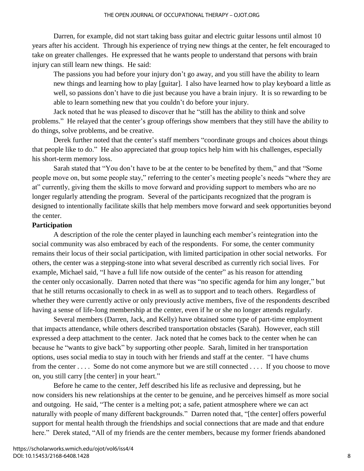Darren, for example, did not start taking bass guitar and electric guitar lessons until almost 10 years after his accident. Through his experience of trying new things at the center, he felt encouraged to take on greater challenges. He expressed that he wants people to understand that persons with brain injury can still learn new things. He said:

The passions you had before your injury don't go away, and you still have the ability to learn new things and learning how to play [guitar]. I also have learned how to play keyboard a little as well, so passions don't have to die just because you have a brain injury. It is so rewarding to be able to learn something new that you couldn't do before your injury.

Jack noted that he was pleased to discover that he "still has the ability to think and solve problems." He relayed that the center's group offerings show members that they still have the ability to do things, solve problems, and be creative.

Derek further noted that the center's staff members "coordinate groups and choices about things that people like to do." He also appreciated that group topics help him with his challenges, especially his short-term memory loss.

Sarah stated that "You don't have to be at the center to be benefited by them," and that "Some people move on, but some people stay," referring to the center's meeting people's needs "where they are at" currently, giving them the skills to move forward and providing support to members who are no longer regularly attending the program. Several of the participants recognized that the program is designed to intentionally facilitate skills that help members move forward and seek opportunities beyond the center.

#### **Participation**

A description of the role the center played in launching each member's reintegration into the social community was also embraced by each of the respondents. For some, the center community remains their locus of their social participation, with limited participation in other social networks. For others, the center was a stepping-stone into what several described as currently rich social lives. For example, Michael said, "I have a full life now outside of the center" as his reason for attending the center only occasionally. Darren noted that there was "no specific agenda for him any longer," but that he still returns occasionally to check in as well as to support and to teach others. Regardless of whether they were currently active or only previously active members, five of the respondents described having a sense of life-long membership at the center, even if he or she no longer attends regularly.

Several members (Darren, Jack, and Kelly) have obtained some type of part-time employment that impacts attendance, while others described transportation obstacles (Sarah). However, each still expressed a deep attachment to the center. Jack noted that he comes back to the center when he can because he "wants to give back" by supporting other people. Sarah, limited in her transportation options, uses social media to stay in touch with her friends and staff at the center. "I have chums from the center . . . . Some do not come anymore but we are still connected . . . . If you choose to move on, you still carry [the center] in your heart."

Before he came to the center, Jeff described his life as reclusive and depressing, but he now considers his new relationships at the center to be genuine, and he perceives himself as more social and outgoing. He said, "The center is a melting pot; a safe, patient atmosphere where we can act naturally with people of many different backgrounds." Darren noted that, "[the center] offers powerful support for mental health through the friendships and social connections that are made and that endure here." Derek stated, "All of my friends are the center members, because my former friends abandoned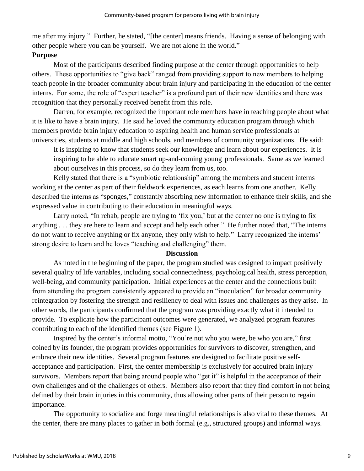me after my injury." Further, he stated, "[the center] means friends. Having a sense of belonging with other people where you can be yourself. We are not alone in the world."

#### **Purpose**

Most of the participants described finding purpose at the center through opportunities to help others. These opportunities to "give back" ranged from providing support to new members to helping teach people in the broader community about brain injury and participating in the education of the center interns. For some, the role of "expert teacher" is a profound part of their new identities and there was recognition that they personally received benefit from this role.

Darren, for example, recognized the important role members have in teaching people about what it is like to have a brain injury. He said he loved the community education program through which members provide brain injury education to aspiring health and human service professionals at universities, students at middle and high schools, and members of community organizations. He said:

It is inspiring to know that students seek our knowledge and learn about our experiences. It is inspiring to be able to educate smart up-and-coming young professionals. Same as we learned about ourselves in this process, so do they learn from us, too.

Kelly stated that there is a "symbiotic relationship" among the members and student interns working at the center as part of their fieldwork experiences, as each learns from one another. Kelly described the interns as "sponges," constantly absorbing new information to enhance their skills, and she expressed value in contributing to their education in meaningful ways.

Larry noted, "In rehab, people are trying to 'fix you,' but at the center no one is trying to fix anything . . . they are here to learn and accept and help each other." He further noted that, "The interns do not want to receive anything or fix anyone, they only wish to help." Larry recognized the interns' strong desire to learn and he loves "teaching and challenging" them.

## **Discussion**

As noted in the beginning of the paper, the program studied was designed to impact positively several quality of life variables, including social connectedness, psychological health, stress perception, well-being, and community participation. Initial experiences at the center and the connections built from attending the program consistently appeared to provide an "inoculation" for broader community reintegration by fostering the strength and resiliency to deal with issues and challenges as they arise. In other words, the participants confirmed that the program was providing exactly what it intended to provide. To explicate how the participant outcomes were generated, we analyzed program features contributing to each of the identified themes (see Figure 1).

Inspired by the center's informal motto, "You're not who you were, be who you are," first coined by its founder, the program provides opportunities for survivors to discover, strengthen, and embrace their new identities. Several program features are designed to facilitate positive selfacceptance and participation. First, the center membership is exclusively for acquired brain injury survivors. Members report that being around people who "get it" is helpful in the acceptance of their own challenges and of the challenges of others. Members also report that they find comfort in not being defined by their brain injuries in this community, thus allowing other parts of their person to regain importance.

The opportunity to socialize and forge meaningful relationships is also vital to these themes. At the center, there are many places to gather in both formal (e.g., structured groups) and informal ways.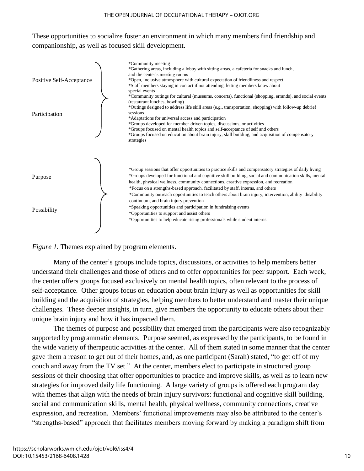These opportunities to socialize foster an environment in which many members find friendship and companionship, as well as focused skill development.



#### *Figure 1.* Themes explained by program elements.

Many of the center's groups include topics, discussions, or activities to help members better understand their challenges and those of others and to offer opportunities for peer support. Each week, the center offers groups focused exclusively on mental health topics, often relevant to the process of self-acceptance. Other groups focus on education about brain injury as well as opportunities for skill building and the acquisition of strategies, helping members to better understand and master their unique challenges. These deeper insights, in turn, give members the opportunity to educate others about their unique brain injury and how it has impacted them.

The themes of purpose and possibility that emerged from the participants were also recognizably supported by programmatic elements. Purpose seemed, as expressed by the participants, to be found in the wide variety of therapeutic activities at the center. All of them stated in some manner that the center gave them a reason to get out of their homes, and, as one participant (Sarah) stated, "to get off of my couch and away from the TV set." At the center, members elect to participate in structured group sessions of their choosing that offer opportunities to practice and improve skills, as well as to learn new strategies for improved daily life functioning. A large variety of groups is offered each program day with themes that align with the needs of brain injury survivors: functional and cognitive skill building, social and communication skills, mental health, physical wellness, community connections, creative expression, and recreation. Members' functional improvements may also be attributed to the center's "strengths-based" approach that facilitates members moving forward by making a paradigm shift from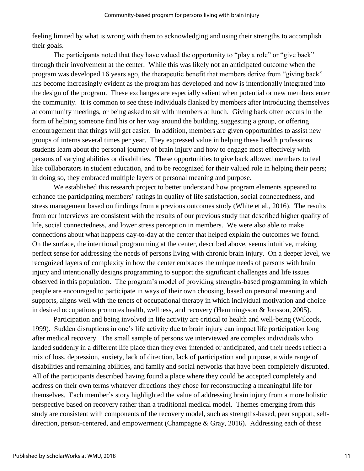feeling limited by what is wrong with them to acknowledging and using their strengths to accomplish their goals.

The participants noted that they have valued the opportunity to "play a role" or "give back" through their involvement at the center. While this was likely not an anticipated outcome when the program was developed 16 years ago, the therapeutic benefit that members derive from "giving back" has become increasingly evident as the program has developed and now is intentionally integrated into the design of the program. These exchanges are especially salient when potential or new members enter the community. It is common to see these individuals flanked by members after introducing themselves at community meetings, or being asked to sit with members at lunch. Giving back often occurs in the form of helping someone find his or her way around the building, suggesting a group, or offering encouragement that things will get easier. In addition, members are given opportunities to assist new groups of interns several times per year. They expressed value in helping these health professions students learn about the personal journey of brain injury and how to engage most effectively with persons of varying abilities or disabilities. These opportunities to give back allowed members to feel like collaborators in student education, and to be recognized for their valued role in helping their peers; in doing so, they embraced multiple layers of personal meaning and purpose.

We established this research project to better understand how program elements appeared to enhance the participating members' ratings in quality of life satisfaction, social connectedness, and stress management based on findings from a previous outcomes study (White et al., 2016). The results from our interviews are consistent with the results of our previous study that described higher quality of life, social connectedness, and lower stress perception in members. We were also able to make connections about what happens day-to-day at the center that helped explain the outcomes we found. On the surface, the intentional programming at the center, described above, seems intuitive, making perfect sense for addressing the needs of persons living with chronic brain injury. On a deeper level, we recognized layers of complexity in how the center embraces the unique needs of persons with brain injury and intentionally designs programming to support the significant challenges and life issues observed in this population. The program's model of providing strengths-based programming in which people are encouraged to participate in ways of their own choosing, based on personal meaning and supports, aligns well with the tenets of occupational therapy in which individual motivation and choice in desired occupations promotes health, wellness, and recovery (Hemmingsson & Jonsson, 2005).

Participation and being involved in life activity are critical to health and well-being (Wilcock, 1999). Sudden disruptions in one's life activity due to brain injury can impact life participation long after medical recovery. The small sample of persons we interviewed are complex individuals who landed suddenly in a different life place than they ever intended or anticipated, and their needs reflect a mix of loss, depression, anxiety, lack of direction, lack of participation and purpose, a wide range of disabilities and remaining abilities, and family and social networks that have been completely disrupted. All of the participants described having found a place where they could be accepted completely and address on their own terms whatever directions they chose for reconstructing a meaningful life for themselves. Each member's story highlighted the value of addressing brain injury from a more holistic perspective based on recovery rather than a traditional medical model. Themes emerging from this study are consistent with components of the recovery model, such as strengths-based, peer support, selfdirection, person-centered, and empowerment (Champagne & Gray, 2016). Addressing each of these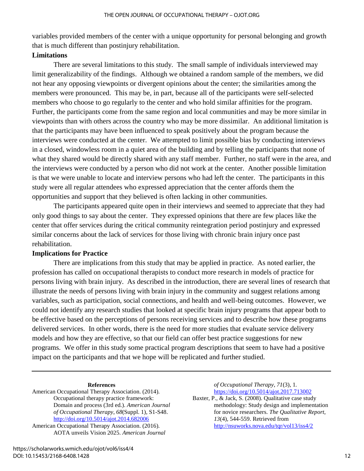variables provided members of the center with a unique opportunity for personal belonging and growth that is much different than postinjury rehabilitation.

# **Limitations**

There are several limitations to this study. The small sample of individuals interviewed may limit generalizability of the findings. Although we obtained a random sample of the members, we did not hear any opposing viewpoints or divergent opinions about the center; the similarities among the members were pronounced. This may be, in part, because all of the participants were self-selected members who choose to go regularly to the center and who hold similar affinities for the program. Further, the participants come from the same region and local communities and may be more similar in viewpoints than with others across the country who may be more dissimilar. An additional limitation is that the participants may have been influenced to speak positively about the program because the interviews were conducted at the center. We attempted to limit possible bias by conducting interviews in a closed, windowless room in a quiet area of the building and by telling the participants that none of what they shared would be directly shared with any staff member. Further, no staff were in the area, and the interviews were conducted by a person who did not work at the center. Another possible limitation is that we were unable to locate and interview persons who had left the center. The participants in this study were all regular attendees who expressed appreciation that the center affords them the opportunities and support that they believed is often lacking in other communities.

The participants appeared quite open in their interviews and seemed to appreciate that they had only good things to say about the center. They expressed opinions that there are few places like the center that offer services during the critical community reintegration period postinjury and expressed similar concerns about the lack of services for those living with chronic brain injury once past rehabilitation.

# **Implications for Practice**

There are implications from this study that may be applied in practice. As noted earlier, the profession has called on occupational therapists to conduct more research in models of practice for persons living with brain injury. As described in the introduction, there are several lines of research that illustrate the needs of persons living with brain injury in the community and suggest relations among variables, such as participation, social connections, and health and well-being outcomes. However, we could not identify any research studies that looked at specific brain injury programs that appear both to be effective based on the perceptions of persons receiving services and to describe how these programs delivered services. In other words, there is the need for more studies that evaluate service delivery models and how they are effective, so that our field can offer best practice suggestions for new programs. We offer in this study some practical program descriptions that seem to have had a positive impact on the participants and that we hope will be replicated and further studied.

#### **References**

American Occupational Therapy Association. (2014). Occupational therapy practice framework: Domain and process (3rd ed.). *American Journal of Occupational Therapy*, *68*(Suppl. 1), S1-S48. <http://doi.org/10.5014/ajot.2014.682006>

American Occupational Therapy Association. (2016). AOTA unveils Vision 2025. *American Journal*  *of Occupational Therapy*, *71*(3), 1*.* <https://doi.org/10.5014/ajot.2017.713002>

Baxter, P., & Jack, S. (2008). Qualitative case study methodology: Study design and implementation for novice researchers. *The Qualitative Report*, *13*(4)*,* 544-559. Retrieved from <http://nsuworks.nova.edu/tqr/vol13/iss4/2>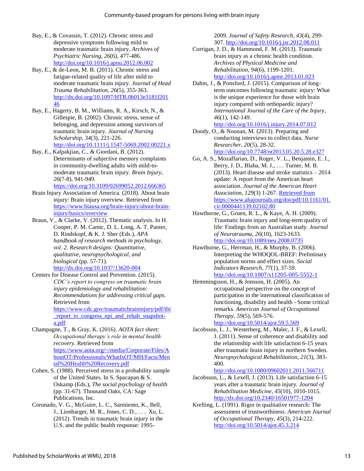- Bay, E., & Covassin, T. (2012). Chronic stress and depressive symptoms following mild to moderate traumatic brain injury. *Archives of Psychiatric Nursing*, *26*(6), 477-486. <http://doi.org/10.1016/j.apnu.2012.06.002>
- Bay, E., & de-Leon, M. B. (2011). Chronic stress and fatigue-related quality of life after mild to moderate traumatic brain injury. *Journal of Head Trauma Rehabilitation*, *26*(5), 355-363. [http://dx.doi.org/10.1097/HTR.0b013e3181f201](http://dx.doi.org/10.1097/HTR.0b013e3181f20146) [46](http://dx.doi.org/10.1097/HTR.0b013e3181f20146)
- Bay, E., Hagerty, B. M., Williams, R. A., Kirsch, N., & Gillespie, B. (2002). Chronic stress, sense of belonging, and depression among survivors of traumatic brain injury. *Journal of Nursing Scholarship*, *34*(3), 221-226. <http://doi.org/10.1111/j.1547-5069.2002.00221.x>
- Bay, E., Kalpakjian, C., & Giordani, B. (2012). Determinants of subjective memory complaints in community-dwelling adults with mild-tomoderate traumatic brain injury. *Brain Injury*, *26*(7-8), 941-949. <https://doi.org/10.3109/02699052.2012.666365>
- Brain Injury Association of America. (2018). About brain injury: Brain injury overview. Retrieved from [https://www.biausa.org/brain-injury/about-brain](https://www.biausa.org/brain-injury/about-brain-injury/basics/overview)[injury/basics/overview](https://www.biausa.org/brain-injury/about-brain-injury/basics/overview)
- Braun, V., & Clarke, V. (2012). Thematic analysis. In H. Cooper, P. M. Camic, D. L. Long, A. T. Panter, D. Rindskopf, & K. J. Sher (Eds.), *APA handbook of research methods in psychology, vol. 2. Research designs: Quantitative, qualitative, neuropsychological, and biological* (pp. 57-71). <http://dx.doi.org/10.1037/13620-004>
- Centers for Disease Control and Prevention. (2015). *CDC's report to congress on traumatic brain injury epidemiology and rehabilitation: Recommendations for addressing critical gaps.* Retrieved from [https://www.cdc.gov/traumaticbraininjury/pdf/tbi](https://www.cdc.gov/traumaticbraininjury/pdf/tbi_report_to_congress_epi_and_rehab_snapshot-a.pdf) [\\_report\\_to\\_congress\\_epi\\_and\\_rehab\\_snapshot](https://www.cdc.gov/traumaticbraininjury/pdf/tbi_report_to_congress_epi_and_rehab_snapshot-a.pdf)[a.pdf](https://www.cdc.gov/traumaticbraininjury/pdf/tbi_report_to_congress_epi_and_rehab_snapshot-a.pdf)
- Champagne, T., & Gray, K. (2016). *AOTA fact sheet: Occupational therapy's role in mental health recovery*. Retrieved from [https://www.aota.org/~/media/Corporate/Files/A](https://www.aota.org/~/media/Corporate/Files/AboutOT/Professionals/WhatIsOT/MH/Facts/Mental%20Health%20Recovery.pdf) [boutOT/Professionals/WhatIsOT/MH/Facts/Men](https://www.aota.org/~/media/Corporate/Files/AboutOT/Professionals/WhatIsOT/MH/Facts/Mental%20Health%20Recovery.pdf) [tal%20Health%20Recovery.pdf](https://www.aota.org/~/media/Corporate/Files/AboutOT/Professionals/WhatIsOT/MH/Facts/Mental%20Health%20Recovery.pdf)
- Cohen, S. (1988). Perceived stress in a probability sample of the United States. In S. Spacapan & S. Oskamp (Eds.), *The social psychology of health* (pp. 31-67). Thousand Oaks, CA: Sage Publications, Inc.
- Coronado, V. G., McGuire, L. C., Sarmiento, K., Bell, J., Lionbarger, M. R., Jones, C. D., . . . Xu, L. (2012). Trends in traumatic brain injury in the U.S. and the public health response: 1995-

2009. *Journal of Safety Research*, *43*(4), 299- 307.<http://doi.org/10.1016/j.jsr.2012.08.011>

- Corrigan, J. D., & Hammond, F. M. (2013). Traumatic brain injury as a chronic health condition. *Archives of Physical Medicine and Rehabilitation*, *94*(6), 1199-1201. <http://doi.org/10.1016/j.apmr.2013.01.023>
- Dahm, J., & Ponsford, J. (2015). Comparison of longterm outcomes following traumatic injury: What is the unique experience for those with brain injury compared with orthopaedic injury? *International Journal of the Care of the Injury*, *46*(1), 142-149. <http://doi.org/10.1016/j.injury.2014.07.012>
- Doody, O., & Noonan, M. (2013). Preparing and conducting interviews to collect data. *Nurse Researcher*, *20*(5), 28-32. <http://doi.org/10.7748/nr2013.05.20.5.28.e327>
- Go, A. S., Mozaffarian, D., Roger, V. L., Benjamin, E. J., Berry, J. D., Blaha, M. J., . . . Turner, M. B. (2013). Heart disease and stroke statistics – 2014 update: A report from the American heart association. *Journal of the American Heart Association*, *129*(3) 1-267. [Retrieved from](https://doi.org/10.1161/01.cir.0000441139.02102.80)  [https://www.ahajournals.org/doi/pdf/10.1161/01.](https://doi.org/10.1161/01.cir.0000441139.02102.80) [cir.0000441139.02102.80](https://doi.org/10.1161/01.cir.0000441139.02102.80)
- Hawthorne, G., Gruen, R. L., & Kaye, A. H. (2009). Traumatic brain injury and long-term quality of life: Findings from an Australian study. *Journal of Neurotrauma*, *26*(10), 1623-1633. <http://doi.org/10.1089/neu.2008.0735>
- Hawthorne, G., Herrman, H., & Murphy, B. (2006). Interpreting the WHOQOL-BREF: Preliminary population norms and effect sizes. *Social Indicators Research*, *77*(1), 37-59. <http://doi.org/10.1007/s11205-005-5552-1>
- Hemmingsson, H., & Jonsson, H. (2005). An occupational perspective on the concept of participation in the international classification of functioning, disability and health - Some critical remarks. *American Journal of Occupational Therapy*, *59*(5), 569-576. <http://doi.org/10.5014/ajot.59.5.569>
- Jacobsson, L. J., Westerberg, M., Malec, J. F., & Lexell, J. (2011). Sense of coherence and disability and the relationship with life satisfaction 6-15 years after traumatic brain injury in northern Sweden. *Neuropsychological Rehabilitation*, *21*(3), 383- 400.

<http://doi.org/10.1080/09602011.2011.566711>

- Jacobsson, L., & Lexell, J. (2013). Life satisfaction 6-15 years after a traumatic brain injury. *Journal of Rehabilitation Medicine*, *45*(10), 1010-1015. <http://dx.doi.org/10.2340/16501977-1204>
- Krefting, L. (1991). Rigor in qualitative research: The assessment of trustworthiness. *American Journal of Occupational Therapy*, *45*(3), 214-222. <http://doi.org/10.5014/ajot.45.3.214>